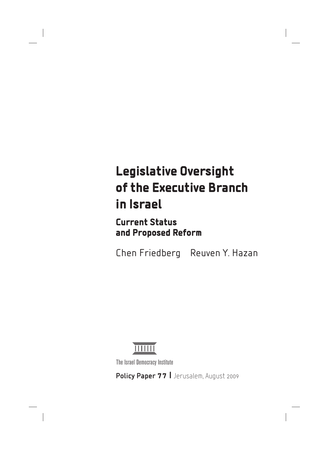# Legislative Oversight of the Executive Branch in Israel

 Current Status and Proposed Reform

Chen Friedberg Reuven Y. Hazan



The Israel Democracy Institute

Policy Paper 77 | Jerusalem, August 2009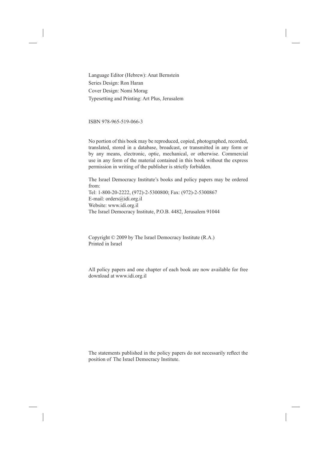Language Editor (Hebrew): Anat Bernstein Series Design: Ron Haran Cover Design: Nomi Morag Typesetting and Printing: Art Plus, Jerusalem

ISBN 978-965-519-066-3

No portion of this book may be reproduced, copied, photographed, recorded, translated, stored in a database, broadcast, or transmitted in any form or by any means, electronic, optic, mechanical, or otherwise. Commercial use in any form of the material contained in this book without the express permission in writing of the publisher is strictly forbidden.

The Israel Democracy Institute's books and policy papers may be ordered from: Tel: 1-800-20-2222, (972)-2-5300800; Fax: (972)-2-5300867 E-mail: orders@idi.org.il Website: www.idi.org.il

The Israel Democracy Institute, P.O.B. 4482, Jerusalem 91044

Copyright © 2009 by The Israel Democracy Institute (R.A.) Printed in Israel

All policy papers and one chapter of each book are now available for free download at www.idi.org.il

The statements published in the policy papers do not necessarily reflect the position of The Israel Democracy Institute.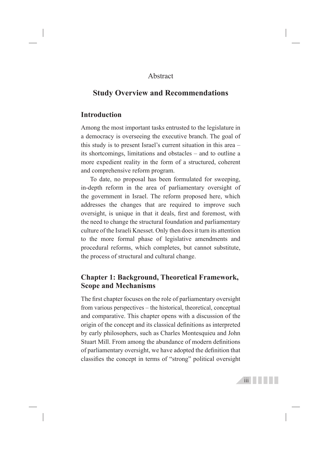#### Abstract

## **Study Overview and Recommendations**

#### **Introduction**

Among the most important tasks entrusted to the legislature in a democracy is overseeing the executive branch. The goal of this study is to present Israel's current situation in this area – its shortcomings, limitations and obstacles – and to outline a more expedient reality in the form of a structured, coherent and comprehensive reform program.

To date, no proposal has been formulated for sweeping, in-depth reform in the area of parliamentary oversight of the government in Israel. The reform proposed here, which addresses the changes that are required to improve such oversight, is unique in that it deals, first and foremost, with the need to change the structural foundation and parliamentary culture of the Israeli Knesset. Only then does it turn its attention to the more formal phase of legislative amendments and procedural reforms, which completes, but cannot substitute, the process of structural and cultural change.

## **Chapter 1: Background, Theoretical Framework, Scope and Mechanisms**

The first chapter focuses on the role of parliamentary oversight from various perspectives – the historical, theoretical, conceptual and comparative. This chapter opens with a discussion of the origin of the concept and its classical definitions as interpreted by early philosophers, such as Charles Montesquieu and John Stuart Mill. From among the abundance of modern definitions of parliamentary oversight, we have adopted the definition that classifies the concept in terms of "strong" political oversight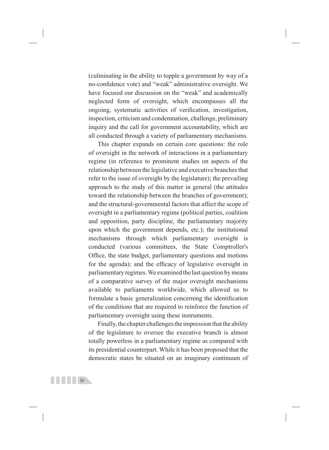(culminating in the ability to topple a government by way of a no-confidence vote) and "weak" administrative oversight. We have focused our discussion on the "weak" and academically neglected form of oversight, which encompasses all the ongoing, systematic activities of verification, investigation, inspection, criticism and condemnation, challenge, preliminary inquiry and the call for government accountability, which are all conducted through a variety of parliamentary mechanisms.

This chapter expands on certain core questions: the role of oversight in the network of interactions in a parliamentary regime (in reference to prominent studies on aspects of the relationship between the legislative and executive branches that refer to the issue of oversight by the legislature); the prevailing approach to the study of this matter in general (the attitudes toward the relationship between the branches of government); and the structural-governmental factors that affect the scope of oversight in a parliamentary regime (political parties, coalition and opposition, party discipline, the parliamentary majority upon which the government depends, etc.); the institutional mechanisms through which parliamentary oversight is conducted (various committees, the State Comptroller's Office, the state budget, parliamentary questions and motions for the agenda); and the efficacy of legislative oversight in parliamentary regimes. We examined the last question by means of a comparative survey of the major oversight mechanisms available to parliaments worldwide, which allowed us to formulate a basic generalization concerning the identification of the conditions that are required to reinforce the function of parliamentary oversight using these instruments.

Finally, the chapter challenges the impression that the ability of the legislature to oversee the executive branch is almost totally powerless in a parliamentary regime as compared with its presidential counterpart. While it has been proposed that the democratic states be situated on an imaginary continuum of

<u>ive</u> in the state is the state of the state in the state in the state in the state in the state in the state in the state in the state in the state in the state in the state in the state in the state in the state in the s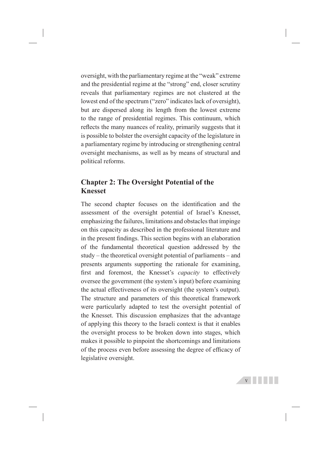oversight, with the parliamentary regime at the "weak" extreme and the presidential regime at the "strong" end, closer scrutiny reveals that parliamentary regimes are not clustered at the lowest end of the spectrum ("zero" indicates lack of oversight), but are dispersed along its length from the lowest extreme to the range of presidential regimes. This continuum, which reflects the many nuances of reality, primarily suggests that it is possible to bolster the oversight capacity of the legislature in a parliamentary regime by introducing or strengthening central oversight mechanisms, as well as by means of structural and political reforms.

## **Chapter 2: The Oversight Potential of the Knesset**

The second chapter focuses on the identification and the assessment of the oversight potential of Israel's Knesset, emphasizing the failures, limitations and obstacles that impinge on this capacity as described in the professional literature and in the present findings. This section begins with an elaboration of the fundamental theoretical question addressed by the study – the theoretical oversight potential of parliaments – and presents arguments supporting the rationale for examining, first and foremost, the Knesset's *capacity* to effectively oversee the government (the system's input) before examining the actual effectiveness of its oversight (the system's output). The structure and parameters of this theoretical framework were particularly adapted to test the oversight potential of the Knesset. This discussion emphasizes that the advantage of applying this theory to the Israeli context is that it enables the oversight process to be broken down into stages, which makes it possible to pinpoint the shortcomings and limitations of the process even before assessing the degree of efficacy of legislative oversight.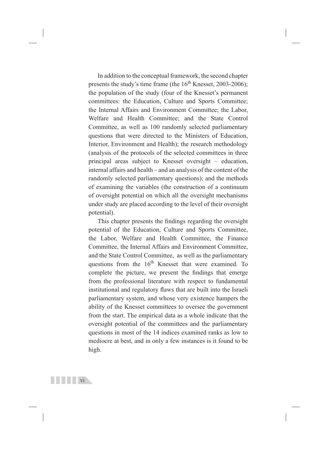In addition to the conceptual framework, the second chapter presents the study's time frame (the  $16<sup>th</sup>$  Knesset, 2003-2006); the population of the study (four of the Knesset's permanent committees: the Education, Culture and Sports Committee; the Internal Affairs and Environment Committee; the Labor, Welfare and Health Committee; and the State Control Committee, as well as 100 randomly selected parliamentary questions that were directed to the Ministers of Education, Interior, Environment and Health); the research methodology (analysis of the protocols of the selected committees in three principal areas subject to Knesset oversight – education, internal affairs and health – and an analysis of the content of the randomly selected parliamentary questions); and the methods of examining the variables (the construction of a continuum of oversight potential on which all the oversight mechanisms under study are placed according to the level of their oversight potential).

This chapter presents the findings regarding the oversight potential of the Education, Culture and Sports Committee, the Labor, Welfare and Health Committee, the Finance Committee, the Internal Affairs and Environment Committee, and the State Control Committee, as well as the parliamentary questions from the 16<sup>th</sup> Knesset that were examined. To complete the picture, we present the findings that emerge from the professional literature with respect to fundamental institutional and regulatory flaws that are built into the Israeli parliamentary system, and whose very existence hampers the ability of the Knesset committees to oversee the government from the start. The empirical data as a whole indicate that the oversight potential of the committees and the parliamentary questions in most of the 14 indices examined ranks as low to mediocre at best, and in only a few instances is it found to be high.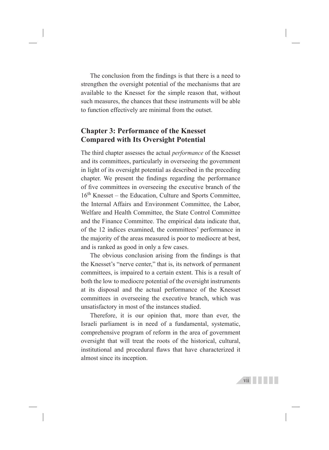The conclusion from the findings is that there is a need to strengthen the oversight potential of the mechanisms that are available to the Knesset for the simple reason that, without such measures, the chances that these instruments will be able to function effectively are minimal from the outset.

## **Chapter 3: Performance of the Knesset Compared with Its Oversight Potential**

The third chapter assesses the actual *performance* of the Knesset and its committees, particularly in overseeing the government in light of its oversight potential as described in the preceding chapter. We present the findings regarding the performance of five committees in overseeing the executive branch of the 16<sup>th</sup> Knesset – the Education, Culture and Sports Committee, the Internal Affairs and Environment Committee, the Labor, Welfare and Health Committee, the State Control Committee and the Finance Committee. The empirical data indicate that, of the 12 indices examined, the committees' performance in the majority of the areas measured is poor to mediocre at best, and is ranked as good in only a few cases.

The obvious conclusion arising from the findings is that the Knesset's "nerve center," that is, its network of permanent committees, is impaired to a certain extent. This is a result of both the low to mediocre potential of the oversight instruments at its disposal and the actual performance of the Knesset committees in overseeing the executive branch, which was unsatisfactory in most of the instances studied.

Therefore, it is our opinion that, more than ever, the Israeli parliament is in need of a fundamental, systematic, comprehensive program of reform in the area of government oversight that will treat the roots of the historical, cultural, institutional and procedural flaws that have characterized it almost since its inception.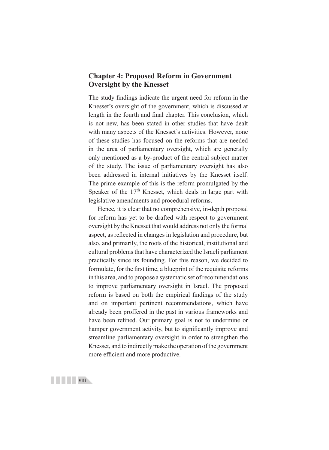## **Chapter 4: Proposed Reform in Government Oversight by the Knesset**

The study findings indicate the urgent need for reform in the Knesset's oversight of the government, which is discussed at length in the fourth and final chapter. This conclusion, which is not new, has been stated in other studies that have dealt with many aspects of the Knesset's activities. However, none of these studies has focused on the reforms that are needed in the area of parliamentary oversight, which are generally only mentioned as a by-product of the central subject matter of the study. The issue of parliamentary oversight has also been addressed in internal initiatives by the Knesset itself. The prime example of this is the reform promulgated by the Speaker of the  $17<sup>th</sup>$  Knesset, which deals in large part with legislative amendments and procedural reforms.

Hence, it is clear that no comprehensive, in-depth proposal for reform has yet to be drafted with respect to government oversight by the Knesset that would address not only the formal aspect, as reflected in changes in legislation and procedure, but also, and primarily, the roots of the historical, institutional and cultural problems that have characterized the Israeli parliament practically since its founding. For this reason, we decided to formulate, for the first time, a blueprint of the requisite reforms in this area, and to propose a systematic set of recommendations to improve parliamentary oversight in Israel. The proposed reform is based on both the empirical findings of the study and on important pertinent recommendations, which have already been proffered in the past in various frameworks and have been refined. Our primary goal is not to undermine or hamper government activity, but to significantly improve and streamline parliamentary oversight in order to strengthen the Knesset, and to indirectly make the operation of the government more efficient and more productive.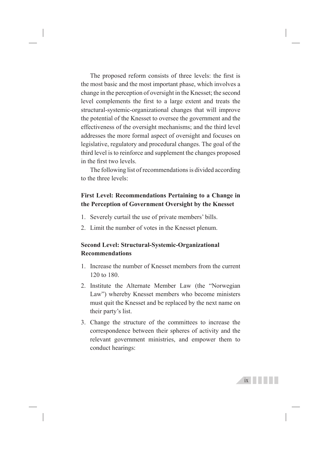The proposed reform consists of three levels: the first is the most basic and the most important phase, which involves a change in the perception of oversight in the Knesset; the second level complements the first to a large extent and treats the structural-systemic-organizational changes that will improve the potential of the Knesset to oversee the government and the effectiveness of the oversight mechanisms; and the third level addresses the more formal aspect of oversight and focuses on legislative, regulatory and procedural changes. The goal of the third level is to reinforce and supplement the changes proposed in the first two levels.

The following list of recommendations is divided according to the three levels:

#### **First Level: Recommendations Pertaining to a Change in the Perception of Government Oversight by the Knesset**

- 1. Severely curtail the use of private members' bills.
- 2. Limit the number of votes in the Knesset plenum.

#### **Second Level: Structural-Systemic-Organizational Recommendations**

- 1. Increase the number of Knesset members from the current 120 to 180.
- 2. Institute the Alternate Member Law (the "Norwegian Law") whereby Knesset members who become ministers must quit the Knesset and be replaced by the next name on their party's list.
- 3. Change the structure of the committees to increase the correspondence between their spheres of activity and the relevant government ministries, and empower them to conduct hearings: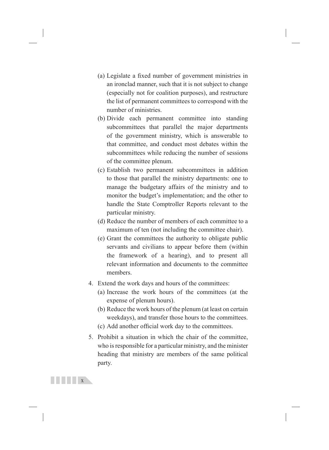- (a) Legislate a fixed number of government ministries in an ironclad manner, such that it is not subject to change (especially not for coalition purposes), and restructure the list of permanent committees to correspond with the number of ministries.
- (b) Divide each permanent committee into standing subcommittees that parallel the major departments of the government ministry, which is answerable to that committee, and conduct most debates within the subcommittees while reducing the number of sessions of the committee plenum.
- (c) Establish two permanent subcommittees in addition to those that parallel the ministry departments: one to manage the budgetary affairs of the ministry and to monitor the budget's implementation; and the other to handle the State Comptroller Reports relevant to the particular ministry.
- (d) Reduce the number of members of each committee to a maximum of ten (not including the committee chair).
- (e) Grant the committees the authority to obligate public servants and civilians to appear before them (within the framework of a hearing), and to present all relevant information and documents to the committee members.
- 4. Extend the work days and hours of the committees:
	- (a) Increase the work hours of the committees (at the expense of plenum hours).
	- (b) Reduce the work hours of the plenum (at least on certain weekdays), and transfer those hours to the committees.
	- (c) Add another official work day to the committees.
- 5. Prohibit a situation in which the chair of the committee, who is responsible for a particular ministry, and the minister heading that ministry are members of the same political party.

 $X$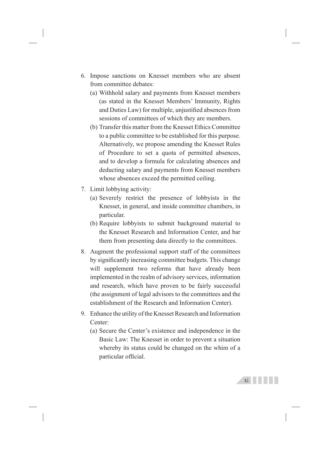- 6. Impose sanctions on Knesset members who are absent from committee debates:
	- (a) Withhold salary and payments from Knesset members (as stated in the Knesset Members' Immunity, Rights and Duties Law) for multiple, unjustified absences from sessions of committees of which they are members.
	- (b) Transfer this matter from the Knesset Ethics Committee to a public committee to be established for this purpose. Alternatively, we propose amending the Knesset Rules of Procedure to set a quota of permitted absences, and to develop a formula for calculating absences and deducting salary and payments from Knesset members whose absences exceed the permitted ceiling.
- 7. Limit lobbying activity:
	- (a) Severely restrict the presence of lobbyists in the Knesset, in general, and inside committee chambers, in particular.
	- (b) Require lobbyists to submit background material to the Knesset Research and Information Center, and bar them from presenting data directly to the committees.
- 8. Augment the professional support staff of the committees by significantly increasing committee budgets. This change will supplement two reforms that have already been implemented in the realm of advisory services, information and research, which have proven to be fairly successful (the assignment of legal advisors to the committees and the establishment of the Research and Information Center).
- 9. Enhance the utility of the Knesset Research and Information Center:
	- (a) Secure the Center's existence and independence in the Basic Law: The Knesset in order to prevent a situation whereby its status could be changed on the whim of a particular official.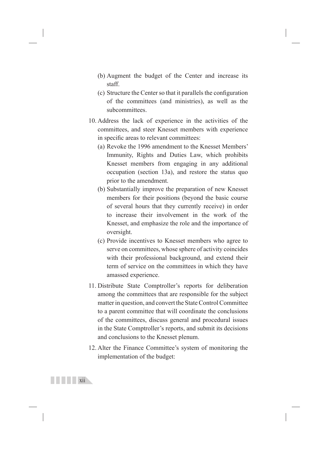- (b) Augment the budget of the Center and increase its staff.
- (c) Structure the Center so that it parallels the configuration of the committees (and ministries), as well as the subcommittees.
- 10. Address the lack of experience in the activities of the committees, and steer Knesset members with experience in specific areas to relevant committees:
	- (a) Revoke the 1996 amendment to the Knesset Members' Immunity, Rights and Duties Law, which prohibits Knesset members from engaging in any additional occupation (section 13a), and restore the status quo prior to the amendment.
	- (b) Substantially improve the preparation of new Knesset members for their positions (beyond the basic course of several hours that they currently receive) in order to increase their involvement in the work of the Knesset, and emphasize the role and the importance of oversight.
	- (c) Provide incentives to Knesset members who agree to serve on committees, whose sphere of activity coincides with their professional background, and extend their term of service on the committees in which they have amassed experience.
- 11. Distribute State Comptroller's reports for deliberation among the committees that are responsible for the subject matter in question, and convert the State Control Committee to a parent committee that will coordinate the conclusions of the committees, discuss general and procedural issues in the State Comptroller's reports, and submit its decisions and conclusions to the Knesset plenum.
- 12. Alter the Finance Committee's system of monitoring the implementation of the budget: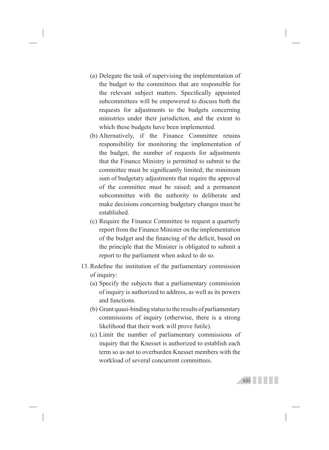- (a) Delegate the task of supervising the implementation of the budget to the committees that are responsible for the relevant subject matters. Specifically appointed subcommittees will be empowered to discuss both the requests for adjustments to the budgets concerning ministries under their jurisdiction, and the extent to which these budgets have been implemented.
- (b) Alternatively, if the Finance Committee retains responsibility for monitoring the implementation of the budget, the number of requests for adjustments that the Finance Ministry is permitted to submit to the committee must be significantly limited; the minimum sum of budgetary adjustments that require the approval of the committee must be raised; and a permanent subcommittee with the authority to deliberate and make decisions concerning budgetary changes must be established.
- (c) Require the Finance Committee to request a quarterly report from the Finance Minister on the implementation of the budget and the financing of the deficit, based on the principle that the Minister is obligated to submit a report to the parliament when asked to do so.
- 13. Redefine the institution of the parliamentary commission of inquiry:
	- (a) Specify the subjects that a parliamentary commission of inquiry is authorized to address, as well as its powers and functions.
	- (b) Grant quasi-binding status to the results of parliamentary commissions of inquiry (otherwise, there is a strong likelihood that their work will prove futile).
	- (c) Limit the number of parliamentary commissions of inquiry that the Knesset is authorized to establish each term so as not to overburden Knesset members with the workload of several concurrent committees.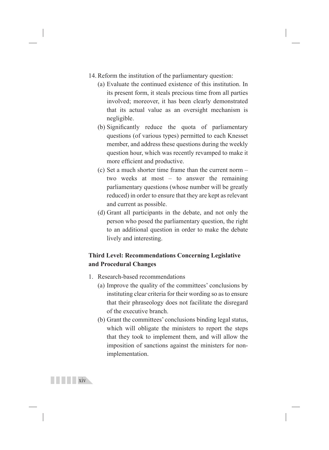- 14. Reform the institution of the parliamentary question:
	- (a) Evaluate the continued existence of this institution. In its present form, it steals precious time from all parties involved; moreover, it has been clearly demonstrated that its actual value as an oversight mechanism is negligible.
	- (b) Significantly reduce the quota of parliamentary questions (of various types) permitted to each Knesset member, and address these questions during the weekly question hour, which was recently revamped to make it more efficient and productive.
	- (c) Set a much shorter time frame than the current norm two weeks at most – to answer the remaining parliamentary questions (whose number will be greatly reduced) in order to ensure that they are kept as relevant and current as possible.
	- (d) Grant all participants in the debate, and not only the person who posed the parliamentary question, the right to an additional question in order to make the debate lively and interesting.

#### **Third Level: Recommendations Concerning Legislative and Procedural Changes**

- 1. Research-based recommendations
	- (a) Improve the quality of the committees' conclusions by instituting clear criteria for their wording so as to ensure that their phraseology does not facilitate the disregard of the executive branch.
	- (b) Grant the committees' conclusions binding legal status, which will obligate the ministers to report the steps that they took to implement them, and will allow the imposition of sanctions against the ministers for nonimplementation.